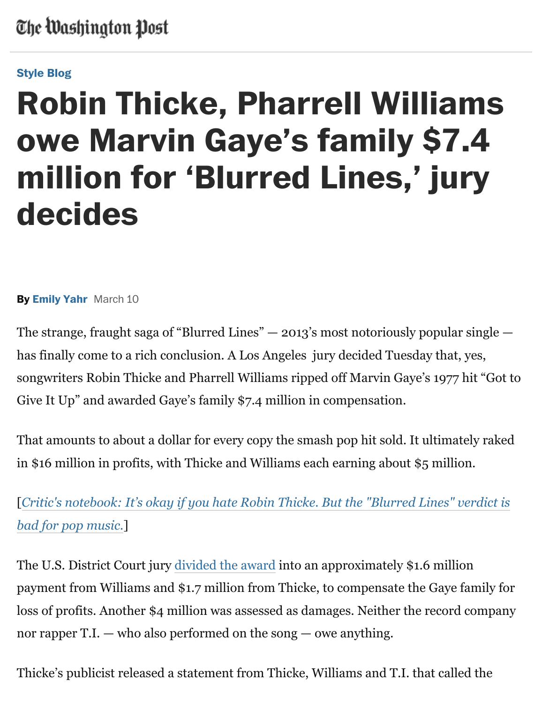#### [Style](http://www.washingtonpost.com/blogs/style-blog) Blog

# Robin Thicke, Pharrell Williams owe Marvin Gaye's family \$7.4 million for 'Blurred Lines, ' jury decides

By [Emily](http://www.washingtonpost.com/people/emily-yahr) Yahr March 10

The strange, fraught saga of "Blurred Lines"  $-$  2013's most notoriously popular single  $$ has finally come to a rich conclusion. A Los Angeles jury decided Tuesday that, yes, songwriters Robin Thicke and Pharrell Williams ripped off Marvin Gaye's 1977 hit "Got to Give It Up" and awarded Gaye's family \$7.4 million in compensation.

That amounts to about a dollar for every copy the smash pop hit sold. It ultimately raked in \$16 million in profits, with Thicke and Williams each earning about \$5 million.

[Critic's [notebook:](http://www.washingtonpost.com/blogs/style-blog/wp/2015/03/11/the-blurred-lines-of-the-blurred-lines-verdict/) It's okay if you hate Robin Thicke. But the "Blurred Lines" verdict is bad for pop music.]

The U.S. District Court jury [divided](http://www.thewrap.com/blurred-lines-verdict-robin-thicke-pharrell-williams-lose-copyright-case-to-marvin-gayes-family/) the award into an approximately \$1.6 million payment from Williams and \$1.7 million from Thicke, to compensate the Gaye family for loss of profits. Another \$4 million was assessed as damages. Neither the record company nor rapper T.I. — who also performed on the song — owe anything.

Thicke's publicist released a statement from Thicke, Williams and T.I. that called the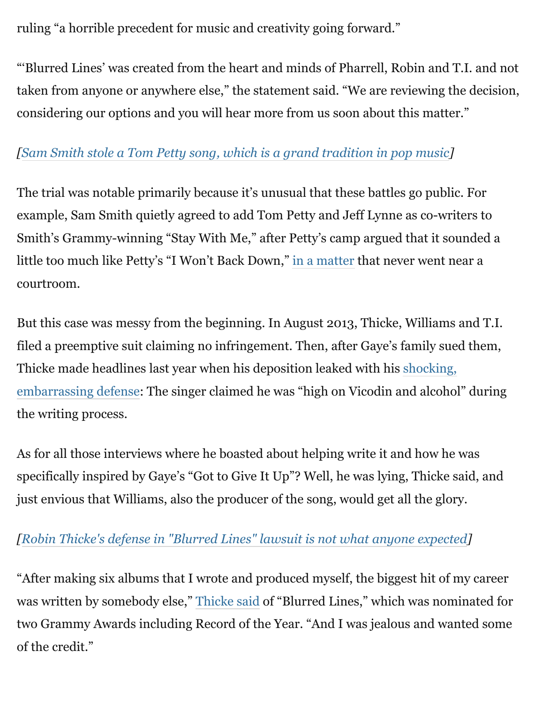ruling "a horrible precedent for music and creativity going forward."

"'Blurred Lines' was created from the heart and minds of Pharrell, Robin and T.I. and not taken from anyone or anywhere else," the statement said. "We are reviewing the decision, considering our options and you will hear more from us soon about this matter."

### [Sam Smith stole a Tom Petty song, which is a grand [tradition](http://www.washingtonpost.com/blogs/style-blog/wp/2015/01/26/sam-smith-stole-a-tom-petty-song-which-is-a-grand-tradition-in-pop-music/) in pop music]

The trial was notable primarily because it's unusual that these battles go public. For example, Sam Smith quietly agreed to add Tom Petty and Jeff Lynne as co-writers to Smith's Grammy-winning "Stay With Me," after Petty's camp argued that it sounded a little too much like Petty's "I Won't Back Down," in a [matter](http://www.washingtonpost.com/blogs/style-blog/wp/2015/01/26/sam-smith-stole-a-tom-petty-song-which-is-a-grand-tradition-in-pop-music/) that never went near a courtroom.

But this case was messy from the beginning. In August 2013, Thicke, Williams and T.I. filed a preemptive suit claiming no infringement. Then, after Gaye's family sued them, Thicke made headlines last year when his deposition leaked with his shocking, [embarrassing](http://www.washingtonpost.com/blogs/style-blog/wp/2014/09/15/robin-thickes-defense-in-blurred-lines-lawsuit-is-not-what-anyone-expected/) defense: The singer claimed he was "high on Vicodin and alcohol" during the writing process.

As for all those interviews where he boasted about helping write it and how he was specifically inspired by Gaye's "Got to Give It Up"? Well, he was lying, Thicke said, and just envious that Williams, also the producer of the song, would get all the glory.

# [Robin Thicke's defense in ["Blurred](http://www.washingtonpost.com/blogs/style-blog/wp/2014/09/15/robin-thickes-defense-in-blurred-lines-lawsuit-is-not-what-anyone-expected/) Lines" lawsuit is not what anyone expected]

"After making six albums that I wrote and produced myself, the biggest hit of my career was written by somebody else," [Thicke](http://www.hollywoodreporter.com/thr-esq/robin-thicke-admits-drug-abuse-732783) said of "Blurred Lines," which was nominated for two Grammy Awards including Record of the Year. "And I was jealous and wanted some of the credit."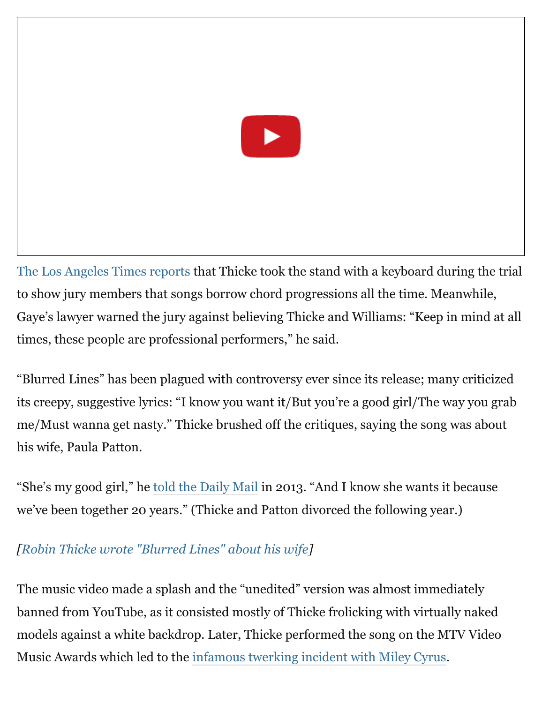

The Los [Angeles](http://www.latimes.com/local/lanow/la-me-ln-blurred-lines-copyright-trial-verdict-20150310-story.html) Times reports that Thicke took the stand with a keyboard during the trial to show jury members that songs borrow chord progressions all the time. Meanwhile, Gaye's lawyer warned the jury against believing Thicke and Williams: "Keep in mind at all times, these people are professional performers," he said.

"Blurred Lines" has been plagued with controversy ever since its release; many criticized its creepy, suggestive lyrics: "I know you want it/But you're a good girl/The way you grab me/Must wanna get nasty." Thicke brushed off the critiques, saying the song was about his wife, Paula Patton.

"She's my good girl," he told the [Daily](http://www.dailymail.co.uk/tvshowbiz/article-2458425/Robin-Thicke-defends-derogatory-song-Blurred-Lines-claiming-composed-Paula-Patton.html) Mail in 2013. "And I know she wants it because we've been together 20 years." (Thicke and Patton divorced the following year.)

# [Robin Thicke wrote ["Blurred](http://www.washingtonpost.com/blogs/reliable-source/wp/2013/10/14/quoted-robin-thicke-wrote-blurred-lines-about-his-wife/) Lines" about his wife]

The music video made a splash and the "unedited" version was almost immediately banned from YouTube, as it consisted mostly of Thicke frolicking with virtually naked models against a white backdrop. Later, Thicke performed the song on the MTV Video Music Awards which led to the [infamous](http://www.washingtonpost.com/blogs/style-blog/wp/2013/09/03/watch-miley-cyrus-says-were-all-over-thinking-her-vma-performance/) twerking incident with Miley Cyrus.